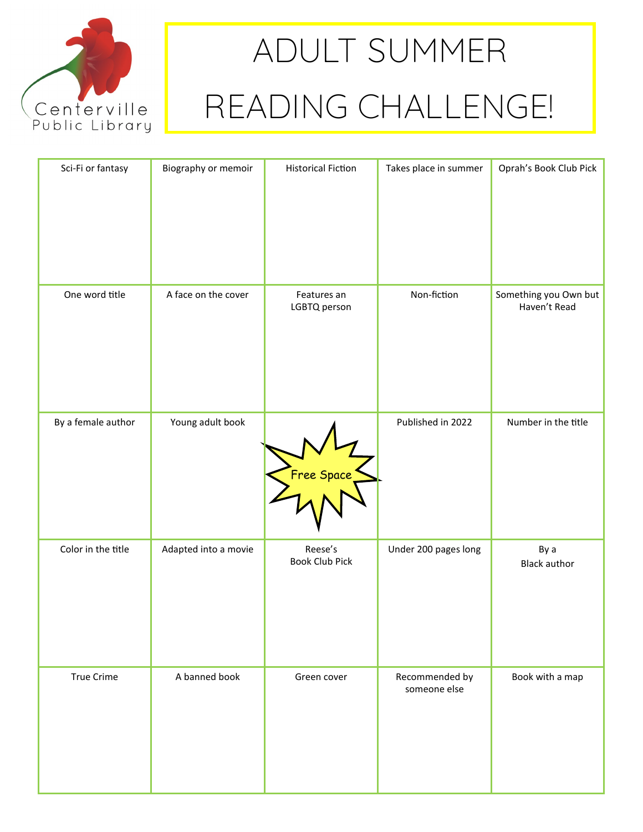

## **ADULT SUMMER READING CHALLENGE!**

| Sci-Fi or fantasy  | Biography or memoir  | <b>Historical Fiction</b>        | Takes place in summer          | Oprah's Book Club Pick                |
|--------------------|----------------------|----------------------------------|--------------------------------|---------------------------------------|
| One word title     | A face on the cover  | Features an<br>LGBTQ person      | Non-fiction                    | Something you Own but<br>Haven't Read |
| By a female author | Young adult book     | Free Space                       | Published in 2022              | Number in the title                   |
| Color in the title | Adapted into a movie | Reese's<br><b>Book Club Pick</b> | Under 200 pages long           | By a<br><b>Black author</b>           |
| <b>True Crime</b>  | A banned book        | Green cover                      | Recommended by<br>someone else | Book with a map                       |